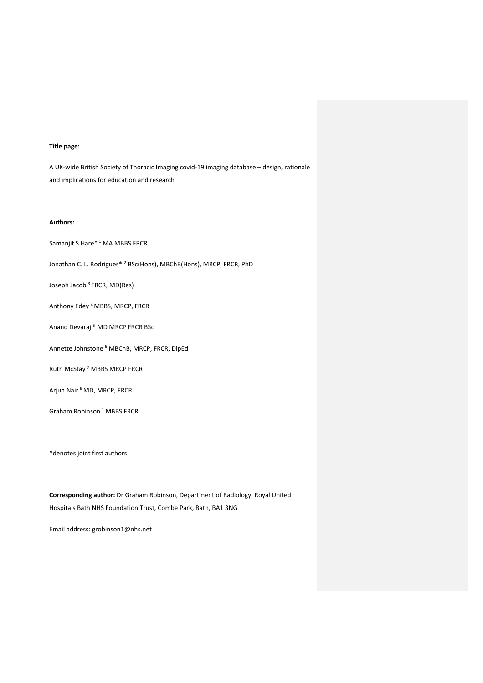# **Title page:**

A UK-wide British Society of Thoracic Imaging covid-19 imaging database – design, rationale and implications for education and research

## **Authors:**

Samanjit S Hare\* <sup>1</sup> MA MBBS FRCR

Jonathan C. L. Rodrigues\* 2 BSc(Hons), MBChB(Hons), MRCP, FRCR, PhD

Joseph Jacob 3 FRCR, MD(Res)

Anthony Edey 4 MBBS, MRCP, FRCR

Anand Devaraj 5 MD MRCP FRCR BSc

Annette Johnstone <sup>6</sup> MBChB, MRCP, FRCR, DipEd

Ruth McStay <sup>7</sup> MBBS MRCP FRCR

Arjun Nair 8 MD, MRCP, FRCR

Graham Robinson<sup>1</sup> MBBS FRCR

\*denotes joint first authors

**Corresponding author:** Dr Graham Robinson, Department of Radiology, Royal United Hospitals Bath NHS Foundation Trust, Combe Park, Bath, BA1 3NG

Email address: grobinson1@nhs.net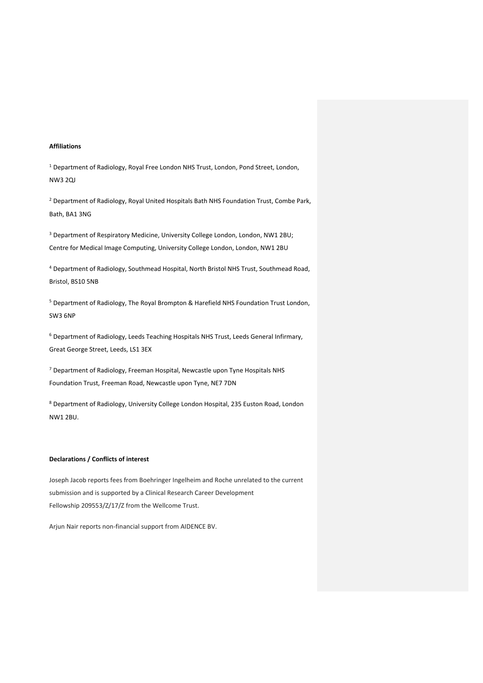# **Affiliations**

<sup>1</sup> Department of Radiology, Royal Free London NHS Trust, London, Pond Street, London, NW3 2QJ

<sup>2</sup> Department of Radiology, Royal United Hospitals Bath NHS Foundation Trust, Combe Park, Bath, BA1 3NG

<sup>3</sup> Department of Respiratory Medicine, University College London, London, NW1 2BU; Centre for Medical Image Computing, University College London, London, NW1 2BU

<sup>4</sup> Department of Radiology, Southmead Hospital, North Bristol NHS Trust, Southmead Road, Bristol, BS10 5NB

<sup>5</sup> Department of Radiology, The Royal Brompton & Harefield NHS Foundation Trust London, SW3 6NP

<sup>6</sup> Department of Radiology, Leeds Teaching Hospitals NHS Trust, Leeds General Infirmary, Great George Street, Leeds, LS1 3EX

<sup>7</sup> Department of Radiology, Freeman Hospital, Newcastle upon Tyne Hospitals NHS Foundation Trust, Freeman Road, Newcastle upon Tyne, NE7 7DN

<sup>8</sup> Department of Radiology, University College London Hospital, 235 Euston Road, London NW1 2BU.

#### **Declarations / Conflicts of interest**

Joseph Jacob reports fees from Boehringer Ingelheim and Roche unrelated to the current submission and is supported by a Clinical Research Career Development Fellowship 209553/Z/17/Z from the Wellcome Trust.

Arjun Nair reports non-financial support from AIDENCE BV.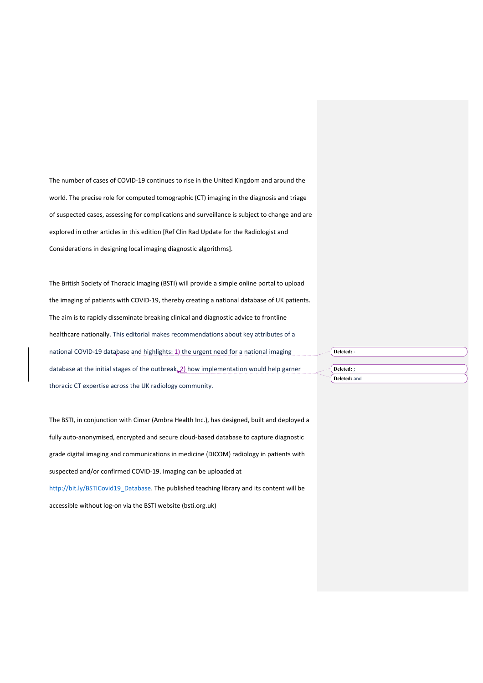The number of cases of COVID-19 continues to rise in the United Kingdom and around the world. The precise role for computed tomographic (CT) imaging in the diagnosis and triage of suspected cases, assessing for complications and surveillance is subject to change and are explored in other articles in this edition [Ref Clin Rad Update for the Radiologist and Considerations in designing local imaging diagnostic algorithms].

The British Society of Thoracic Imaging (BSTI) will provide a simple online portal to upload the imaging of patients with COVID-19, thereby creating a national database of UK patients. The aim is to rapidly disseminate breaking clinical and diagnostic advice to frontline healthcare nationally. This editorial makes recommendations about key attributes of a national COVID-19 database and highlights: 1) the urgent need for a national imaging database at the initial stages of the outbreak, 2) how implementation would help garner thoracic CT expertise across the UK radiology community.

The BSTI, in conjunction with Cimar (Ambra Health Inc.), has designed, built and deployed a fully auto-anonymised, encrypted and secure cloud-based database to capture diagnostic grade digital imaging and communications in medicine (DICOM) radiology in patients with suspected and/or confirmed COVID-19. Imaging can be uploaded at http://bit.ly/BSTICovid19\_Database. The published teaching library and its content will be accessible without log-on via the BSTI website (bsti.org.uk)

**Deleted:** ; **Deleted:** and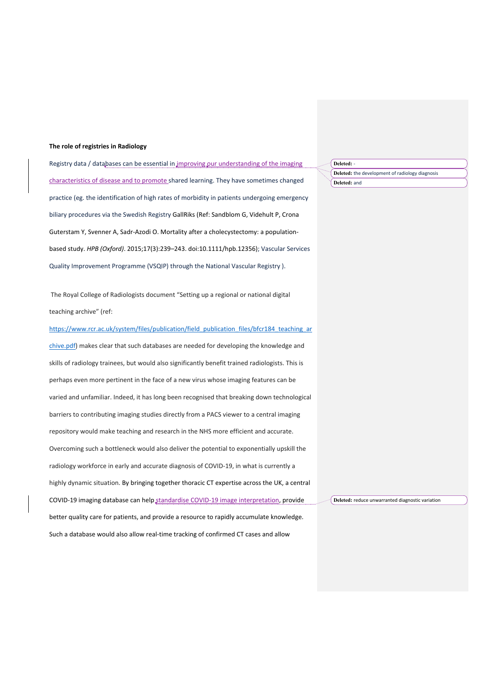### **The role of registries in Radiology**

Registry data / databases can be essential in improving our understanding of the imaging characteristics of disease and to promote shared learning. They have sometimes changed practice (eg. the identification of high rates of morbidity in patients undergoing emergency biliary procedures via the Swedish Registry GallRiks (Ref: Sandblom G, Videhult P, Crona Guterstam Y, Svenner A, Sadr-Azodi O. Mortality after a cholecystectomy: a populationbased study. *HPB (Oxford)*. 2015;17(3):239–243. doi:10.1111/hpb.12356); Vascular Services Quality Improvement Programme (VSQIP) through the National Vascular Registry ).

The Royal College of Radiologists document "Setting up a regional or national digital teaching archive" (ref:

https://www.rcr.ac.uk/system/files/publication/field\_publication\_files/bfcr184\_teaching\_ar chive.pdf) makes clear that such databases are needed for developing the knowledge and skills of radiology trainees, but would also significantly benefit trained radiologists. This is perhaps even more pertinent in the face of a new virus whose imaging features can be varied and unfamiliar. Indeed, it has long been recognised that breaking down technological barriers to contributing imaging studies directly from a PACS viewer to a central imaging repository would make teaching and research in the NHS more efficient and accurate. Overcoming such a bottleneck would also deliver the potential to exponentially upskill the radiology workforce in early and accurate diagnosis of COVID-19, in what is currently a highly dynamic situation. By bringing together thoracic CT expertise across the UK, a central COVID-19 imaging database can help standardise COVID-19 image interpretation, provide better quality care for patients, and provide a resource to rapidly accumulate knowledge. Such a database would also allow real-time tracking of confirmed CT cases and allow **Deleted:** reduce unwarranted diagnostic variation

**Deleted:** -

**Deleted:** the development of radiology diagnosis **Deleted:** and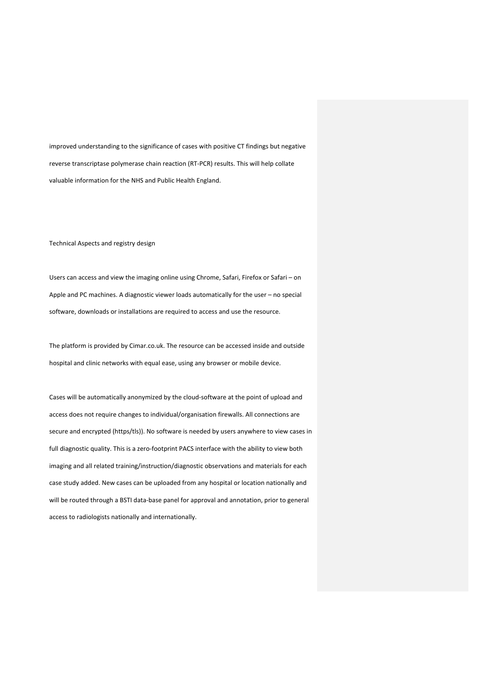improved understanding to the significance of cases with positive CT findings but negative reverse transcriptase polymerase chain reaction (RT-PCR) results. This will help collate valuable information for the NHS and Public Health England.

Technical Aspects and registry design

Users can access and view the imaging online using Chrome, Safari, Firefox or Safari – on Apple and PC machines. A diagnostic viewer loads automatically for the user – no special software, downloads or installations are required to access and use the resource.

The platform is provided by Cimar.co.uk. The resource can be accessed inside and outside hospital and clinic networks with equal ease, using any browser or mobile device.

Cases will be automatically anonymized by the cloud-software at the point of upload and access does not require changes to individual/organisation firewalls. All connections are secure and encrypted (https/tls)). No software is needed by users anywhere to view cases in full diagnostic quality. This is a zero-footprint PACS interface with the ability to view both imaging and all related training/instruction/diagnostic observations and materials for each case study added. New cases can be uploaded from any hospital or location nationally and will be routed through a BSTI data-base panel for approval and annotation, prior to general access to radiologists nationally and internationally.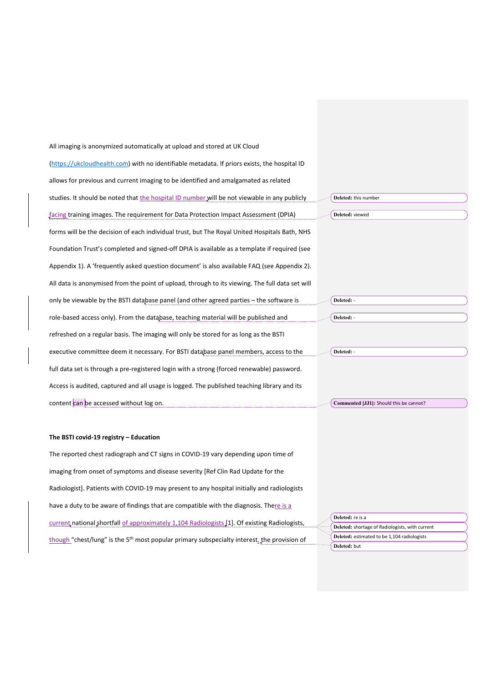| All imaging is anonymized automatically at upload and stored at UK Cloud                                                                                             |  |
|----------------------------------------------------------------------------------------------------------------------------------------------------------------------|--|
| (https://ukcloudhealth.com) with no identifiable metadata. If priors exists, the hospital ID                                                                         |  |
| allows for previous and current imaging to be identified and amalgamated as related                                                                                  |  |
| studies. It should be noted that the hospital ID number will be not viewable in any publicly<br>Deleted: this number                                                 |  |
| facing training images. The requirement for Data Protection Impact Assessment (DPIA)<br>Deleted: viewed                                                              |  |
| forms will be the decision of each individual trust, but The Royal United Hospitals Bath, NHS                                                                        |  |
| Foundation Trust's completed and signed-off DPIA is available as a template if required (see                                                                         |  |
| Appendix 1). A 'frequently asked question document' is also available FAQ (see Appendix 2).                                                                          |  |
| All data is anonymised from the point of upload, through to its viewing. The full data set will                                                                      |  |
| only be viewable by the BSTI database panel (and other agreed parties – the software is<br>Deleted: -                                                                |  |
| Deleted: -<br>role-based access only). From the database, teaching material will be published and                                                                    |  |
| refreshed on a regular basis. The imaging will only be stored for as long as the BSTI                                                                                |  |
| executive committee deem it necessary. For BSTI database panel members, access to the<br>Deleted: -                                                                  |  |
| full data set is through a pre-registered login with a strong (forced renewable) password.                                                                           |  |
| Access is audited, captured and all usage is logged. The published teaching library and its                                                                          |  |
| content can be accessed without log on.<br>Commented [JJ1]: Should this be cannot?                                                                                   |  |
|                                                                                                                                                                      |  |
| The BSTI covid-19 registry - Education                                                                                                                               |  |
| The reported chest radiograph and CT signs in COVID-19 vary depending upon time of                                                                                   |  |
| imaging from onset of symptoms and disease severity [Ref Clin Rad Update for the                                                                                     |  |
| Radiologist]. Patients with COVID-19 may present to any hospital initially and radiologists                                                                          |  |
| have a duty to be aware of findings that are compatible with the diagnosis. There is a                                                                               |  |
| Deleted: re is a<br>current national shortfall of approximately 1,104 Radiologists [1]. Of existing Radiologists,<br>Deleted: shortage of Radiologists, with current |  |
|                                                                                                                                                                      |  |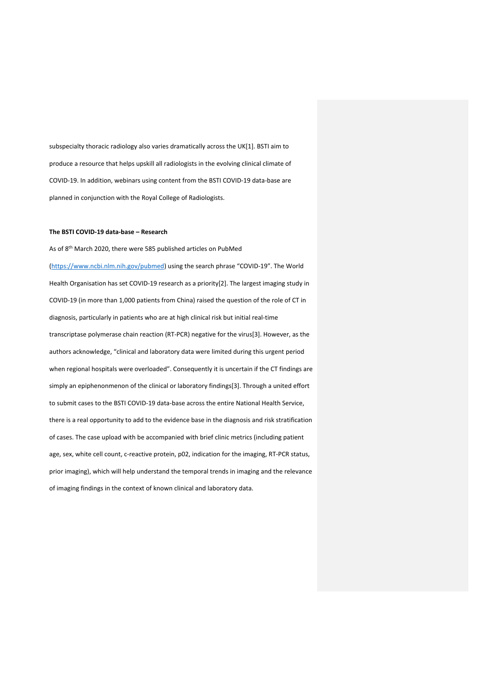subspecialty thoracic radiology also varies dramatically across the UK[1]. BSTI aim to produce a resource that helps upskill all radiologists in the evolving clinical climate of COVID-19. In addition, webinars using content from the BSTI COVID-19 data-base are planned in conjunction with the Royal College of Radiologists.

#### **The BSTI COVID-19 data-base – Research**

As of 8th March 2020, there were 585 published articles on PubMed (https://www.ncbi.nlm.nih.gov/pubmed) using the search phrase "COVID-19". The World Health Organisation has set COVID-19 research as a priority[2]. The largest imaging study in COVID-19 (in more than 1,000 patients from China) raised the question of the role of CT in diagnosis, particularly in patients who are at high clinical risk but initial real-time transcriptase polymerase chain reaction (RT-PCR) negative for the virus[3]. However, as the authors acknowledge, "clinical and laboratory data were limited during this urgent period when regional hospitals were overloaded". Consequently it is uncertain if the CT findings are simply an epiphenonmenon of the clinical or laboratory findings[3]. Through a united effort to submit cases to the BSTI COVID-19 data-base across the entire National Health Service, there is a real opportunity to add to the evidence base in the diagnosis and risk stratification of cases. The case upload with be accompanied with brief clinic metrics (including patient age, sex, white cell count, c-reactive protein, p02, indication for the imaging, RT-PCR status, prior imaging), which will help understand the temporal trends in imaging and the relevance of imaging findings in the context of known clinical and laboratory data.